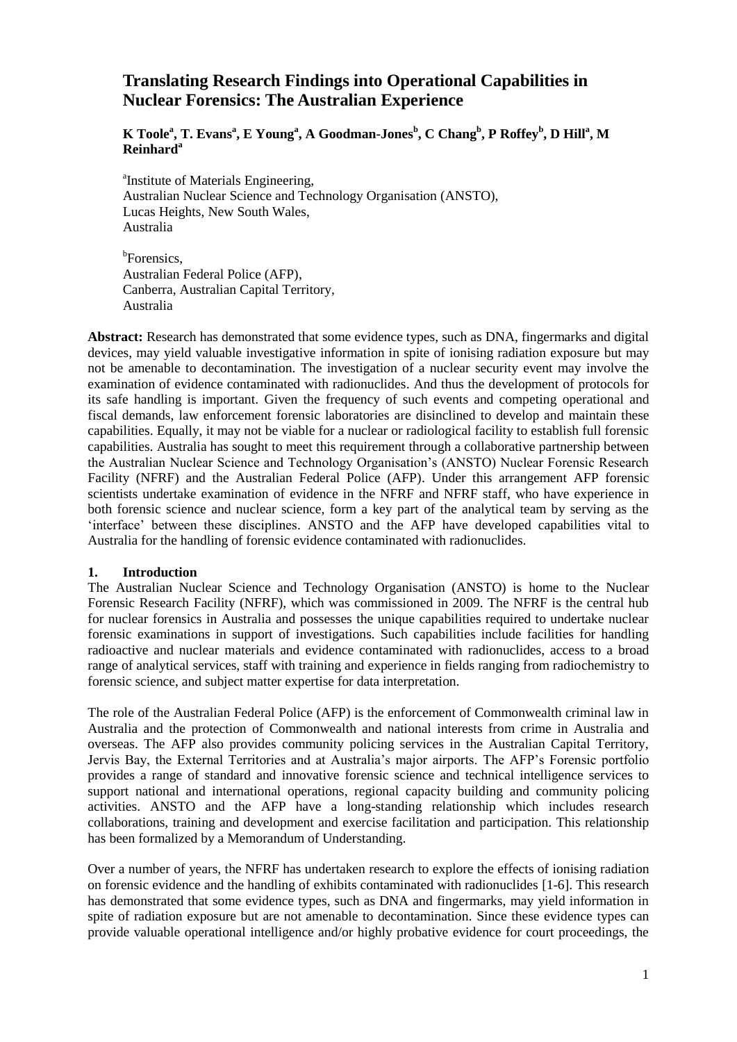# **Translating Research Findings into Operational Capabilities in Nuclear Forensics: The Australian Experience**

# **K Toole<sup>a</sup> , T. Evans<sup>a</sup> , E Young<sup>a</sup> , A Goodman-Jones<sup>b</sup> , C Chang<sup>b</sup> , P Roffey<sup>b</sup> , D Hill<sup>a</sup> , M Reinhard<sup>a</sup>**

<sup>a</sup>Institute of Materials Engineering, Australian Nuclear Science and Technology Organisation (ANSTO), Lucas Heights, New South Wales, Australia

<sup>b</sup>Forensics, Australian Federal Police (AFP), Canberra, Australian Capital Territory, Australia

**Abstract:** Research has demonstrated that some evidence types, such as DNA, fingermarks and digital devices, may yield valuable investigative information in spite of ionising radiation exposure but may not be amenable to decontamination. The investigation of a nuclear security event may involve the examination of evidence contaminated with radionuclides. And thus the development of protocols for its safe handling is important. Given the frequency of such events and competing operational and fiscal demands, law enforcement forensic laboratories are disinclined to develop and maintain these capabilities. Equally, it may not be viable for a nuclear or radiological facility to establish full forensic capabilities. Australia has sought to meet this requirement through a collaborative partnership between the Australian Nuclear Science and Technology Organisation's (ANSTO) Nuclear Forensic Research Facility (NFRF) and the Australian Federal Police (AFP). Under this arrangement AFP forensic scientists undertake examination of evidence in the NFRF and NFRF staff, who have experience in both forensic science and nuclear science, form a key part of the analytical team by serving as the 'interface' between these disciplines. ANSTO and the AFP have developed capabilities vital to Australia for the handling of forensic evidence contaminated with radionuclides.

### **1. Introduction**

The Australian Nuclear Science and Technology Organisation (ANSTO) is home to the Nuclear Forensic Research Facility (NFRF), which was commissioned in 2009. The NFRF is the central hub for nuclear forensics in Australia and possesses the unique capabilities required to undertake nuclear forensic examinations in support of investigations. Such capabilities include facilities for handling radioactive and nuclear materials and evidence contaminated with radionuclides, access to a broad range of analytical services, staff with training and experience in fields ranging from radiochemistry to forensic science, and subject matter expertise for data interpretation.

The role of the Australian Federal Police (AFP) is the enforcement of Commonwealth criminal law in Australia and the protection of Commonwealth and national interests from crime in Australia and overseas. The AFP also provides community policing services in the Australian Capital Territory, Jervis Bay, the External Territories and at Australia's major airports. The AFP's Forensic portfolio provides a range of standard and innovative forensic science and technical intelligence services to support national and international operations, regional capacity building and community policing activities. ANSTO and the AFP have a long-standing relationship which includes research collaborations, training and development and exercise facilitation and participation. This relationship has been formalized by a Memorandum of Understanding.

Over a number of years, the NFRF has undertaken research to explore the effects of ionising radiation on forensic evidence and the handling of exhibits contaminated with radionuclides [\[1-6\]](#page-9-0). This research has demonstrated that some evidence types, such as DNA and fingermarks, may yield information in spite of radiation exposure but are not amenable to decontamination. Since these evidence types can provide valuable operational intelligence and/or highly probative evidence for court proceedings, the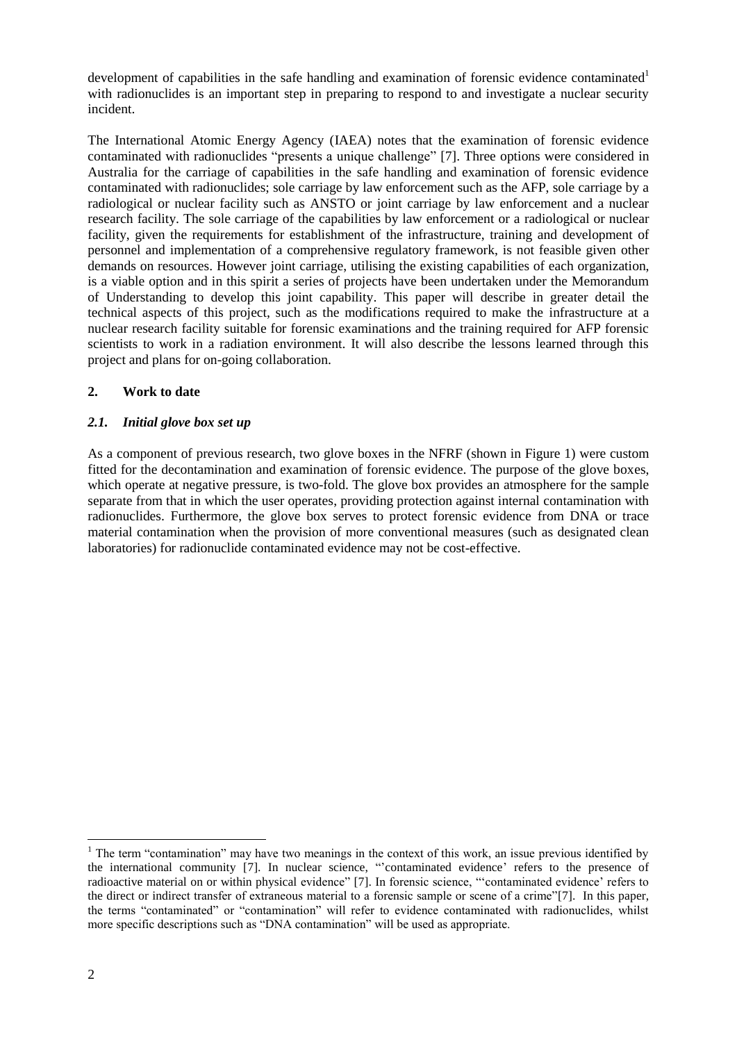development of capabilities in the safe handling and examination of forensic evidence contaminated<sup>1</sup> with radionuclides is an important step in preparing to respond to and investigate a nuclear security incident.

The International Atomic Energy Agency (IAEA) notes that the examination of forensic evidence contaminated with radionuclides "presents a unique challenge" [\[7\]](#page-9-1). Three options were considered in Australia for the carriage of capabilities in the safe handling and examination of forensic evidence contaminated with radionuclides; sole carriage by law enforcement such as the AFP, sole carriage by a radiological or nuclear facility such as ANSTO or joint carriage by law enforcement and a nuclear research facility. The sole carriage of the capabilities by law enforcement or a radiological or nuclear facility, given the requirements for establishment of the infrastructure, training and development of personnel and implementation of a comprehensive regulatory framework, is not feasible given other demands on resources. However joint carriage, utilising the existing capabilities of each organization, is a viable option and in this spirit a series of projects have been undertaken under the Memorandum of Understanding to develop this joint capability. This paper will describe in greater detail the technical aspects of this project, such as the modifications required to make the infrastructure at a nuclear research facility suitable for forensic examinations and the training required for AFP forensic scientists to work in a radiation environment. It will also describe the lessons learned through this project and plans for on-going collaboration.

# **2. Work to date**

## <span id="page-1-0"></span>*2.1. Initial glove box set up*

As a component of previous research, two glove boxes in the NFRF (shown in [Figure 1\)](#page-2-0) were custom fitted for the decontamination and examination of forensic evidence. The purpose of the glove boxes, which operate at negative pressure, is two-fold. The glove box provides an atmosphere for the sample separate from that in which the user operates, providing protection against internal contamination with radionuclides. Furthermore, the glove box serves to protect forensic evidence from DNA or trace material contamination when the provision of more conventional measures (such as designated clean laboratories) for radionuclide contaminated evidence may not be cost-effective.

l

<sup>&</sup>lt;sup>1</sup> The term "contamination" may have two meanings in the context of this work, an issue previous identified by the international community [\[7\]](#page-9-1). In nuclear science, "'contaminated evidence' refers to the presence of radioactive material on or within physical evidence" [\[7\]](#page-9-1). In forensic science, "'contaminated evidence' refers to the direct or indirect transfer of extraneous material to a forensic sample or scene of a crime"[\[7\]](#page-9-1). In this paper, the terms "contaminated" or "contamination" will refer to evidence contaminated with radionuclides, whilst more specific descriptions such as "DNA contamination" will be used as appropriate.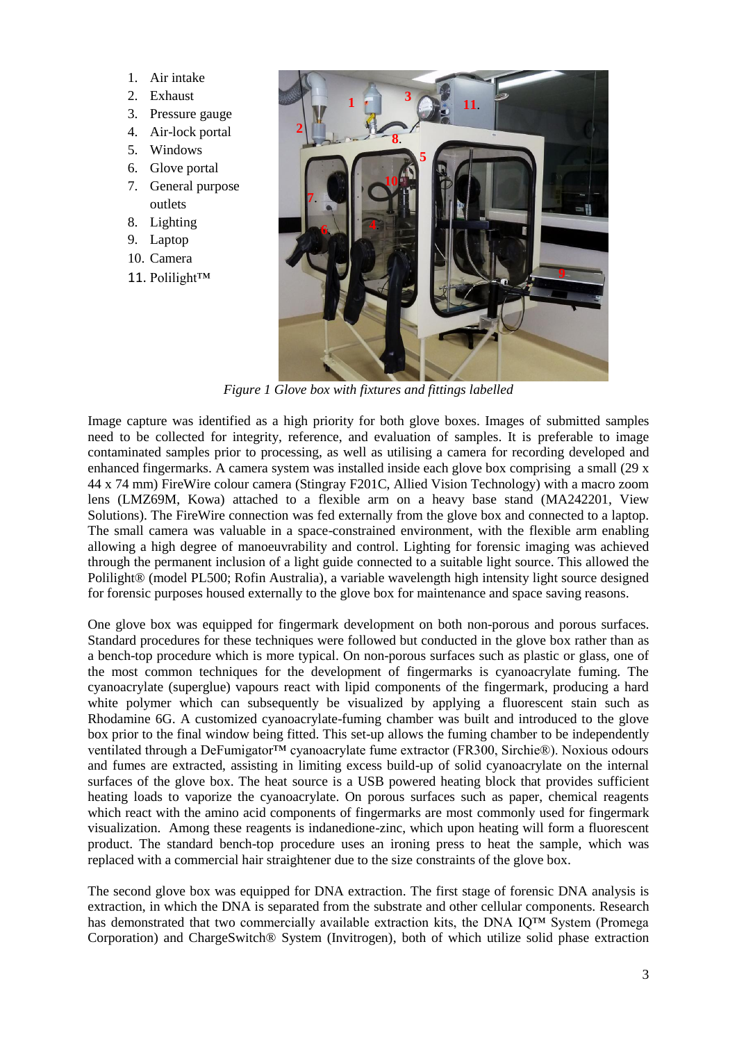- 1. Air intake
- 2. Exhaust
- 3. Pressure gauge
- 4. Air-lock portal
- 5. Windows
- 6. Glove portal
- 7. General purpose outlets
- 8. Lighting
- 9. Laptop
- 10. Camera
- 11. Polilight™



*Figure 1 Glove box with fixtures and fittings labelled*

<span id="page-2-0"></span>Image capture was identified as a high priority for both glove boxes. Images of submitted samples need to be collected for integrity, reference, and evaluation of samples. It is preferable to image contaminated samples prior to processing, as well as utilising a camera for recording developed and enhanced fingermarks. A camera system was installed inside each glove box comprising a small (29 x 44 x 74 mm) FireWire colour camera (Stingray F201C, Allied Vision Technology) with a macro zoom lens (LMZ69M, Kowa) attached to a flexible arm on a heavy base stand (MA242201, View Solutions). The FireWire connection was fed externally from the glove box and connected to a laptop. The small camera was valuable in a space-constrained environment, with the flexible arm enabling allowing a high degree of manoeuvrability and control. Lighting for forensic imaging was achieved through the permanent inclusion of a light guide connected to a suitable light source. This allowed the Polilight® (model PL500; Rofin Australia), a variable wavelength high intensity light source designed for forensic purposes housed externally to the glove box for maintenance and space saving reasons.

One glove box was equipped for fingermark development on both non-porous and porous surfaces. Standard procedures for these techniques were followed but conducted in the glove box rather than as a bench-top procedure which is more typical. On non-porous surfaces such as plastic or glass, one of the most common techniques for the development of fingermarks is cyanoacrylate fuming. The cyanoacrylate (superglue) vapours react with lipid components of the fingermark, producing a hard white polymer which can subsequently be visualized by applying a fluorescent stain such as Rhodamine 6G. A customized cyanoacrylate-fuming chamber was built and introduced to the glove box prior to the final window being fitted. This set-up allows the fuming chamber to be independently ventilated through a DeFumigator™ cyanoacrylate fume extractor (FR300, Sirchie®). Noxious odours and fumes are extracted, assisting in limiting excess build-up of solid cyanoacrylate on the internal surfaces of the glove box. The heat source is a USB powered heating block that provides sufficient heating loads to vaporize the cyanoacrylate. On porous surfaces such as paper, chemical reagents which react with the amino acid components of fingermarks are most commonly used for fingermark visualization. Among these reagents is indanedione-zinc, which upon heating will form a fluorescent product. The standard bench-top procedure uses an ironing press to heat the sample, which was replaced with a commercial hair straightener due to the size constraints of the glove box.

The second glove box was equipped for DNA extraction. The first stage of forensic DNA analysis is extraction, in which the DNA is separated from the substrate and other cellular components. Research has demonstrated that two commercially available extraction kits, the DNA IQ™ System (Promega Corporation) and ChargeSwitch® System (Invitrogen), both of which utilize solid phase extraction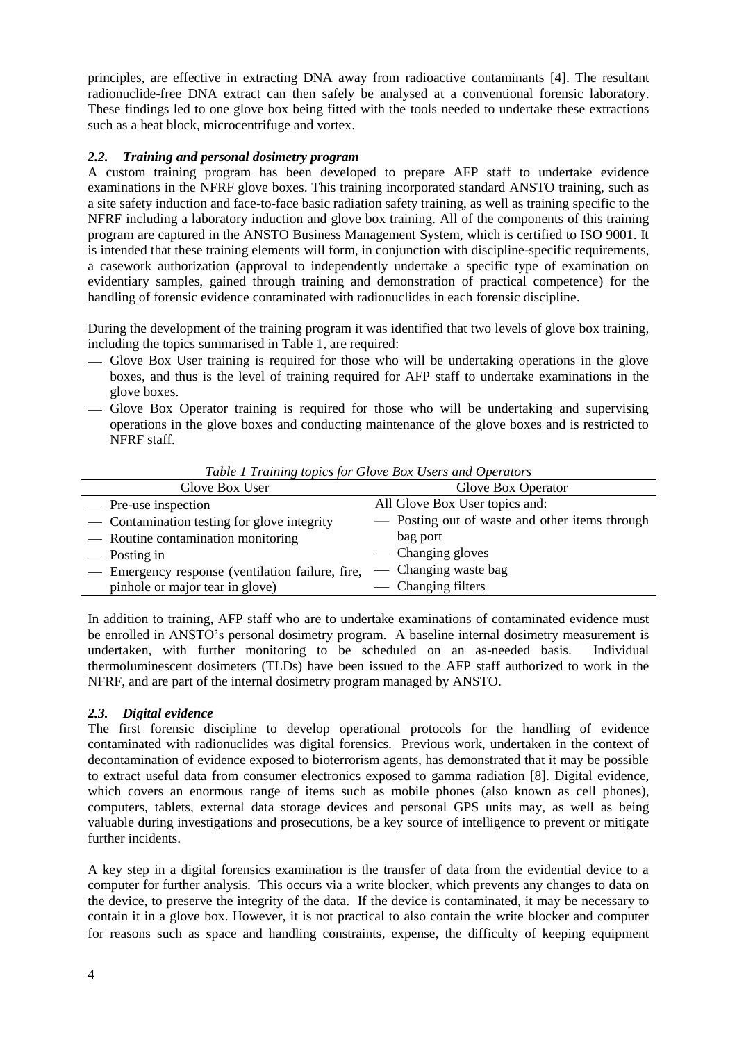principles, are effective in extracting DNA away from radioactive contaminants [\[4\]](#page-9-2). The resultant radionuclide-free DNA extract can then safely be analysed at a conventional forensic laboratory. These findings led to one glove box being fitted with the tools needed to undertake these extractions such as a heat block, microcentrifuge and vortex.

## <span id="page-3-1"></span>*2.2. Training and personal dosimetry program*

A custom training program has been developed to prepare AFP staff to undertake evidence examinations in the NFRF glove boxes. This training incorporated standard ANSTO training, such as a site safety induction and face-to-face basic radiation safety training, as well as training specific to the NFRF including a laboratory induction and glove box training. All of the components of this training program are captured in the ANSTO Business Management System, which is certified to ISO 9001. It is intended that these training elements will form, in conjunction with discipline-specific requirements, a casework authorization (approval to independently undertake a specific type of examination on evidentiary samples, gained through training and demonstration of practical competence) for the handling of forensic evidence contaminated with radionuclides in each forensic discipline.

During the development of the training program it was identified that two levels of glove box training, including the topics summarised in [Table 1,](#page-3-0) are required:

- Glove Box User training is required for those who will be undertaking operations in the glove boxes, and thus is the level of training required for AFP staff to undertake examinations in the glove boxes.
- Glove Box Operator training is required for those who will be undertaking and supervising operations in the glove boxes and conducting maintenance of the glove boxes and is restricted to NFRF staff.

<span id="page-3-0"></span>

| Table 1 Training topics for Glove Dox Oscrs and Operators |                                                |
|-----------------------------------------------------------|------------------------------------------------|
| Glove Box User                                            | Glove Box Operator                             |
| — Pre-use inspection                                      | All Glove Box User topics and:                 |
| — Contamination testing for glove integrity               | - Posting out of waste and other items through |
| — Routine contamination monitoring                        | bag port                                       |
| — Posting in                                              | — Changing gloves                              |
| - Emergency response (ventilation failure, fire,          | — Changing waste bag                           |
| pinhole or major tear in glove)                           | — Changing filters                             |

*Table 1 Training topics for Glove Box Users and Operators*

In addition to training, AFP staff who are to undertake examinations of contaminated evidence must be enrolled in ANSTO's personal dosimetry program. A baseline internal dosimetry measurement is undertaken, with further monitoring to be scheduled on an as-needed basis. Individual thermoluminescent dosimeters (TLDs) have been issued to the AFP staff authorized to work in the NFRF, and are part of the internal dosimetry program managed by ANSTO.

# *2.3. Digital evidence*

The first forensic discipline to develop operational protocols for the handling of evidence contaminated with radionuclides was digital forensics. Previous work, undertaken in the context of decontamination of evidence exposed to bioterrorism agents, has demonstrated that it may be possible to extract useful data from consumer electronics exposed to gamma radiation [\[8\]](#page-9-3). Digital evidence, which covers an enormous range of items such as mobile phones (also known as cell phones), computers, tablets, external data storage devices and personal GPS units may, as well as being valuable during investigations and prosecutions, be a key source of intelligence to prevent or mitigate further incidents.

A key step in a digital forensics examination is the transfer of data from the evidential device to a computer for further analysis. This occurs via a write blocker, which prevents any changes to data on the device, to preserve the integrity of the data. If the device is contaminated, it may be necessary to contain it in a glove box. However, it is not practical to also contain the write blocker and computer for reasons such as pace and handling constraints, expense, the difficulty of keeping equipment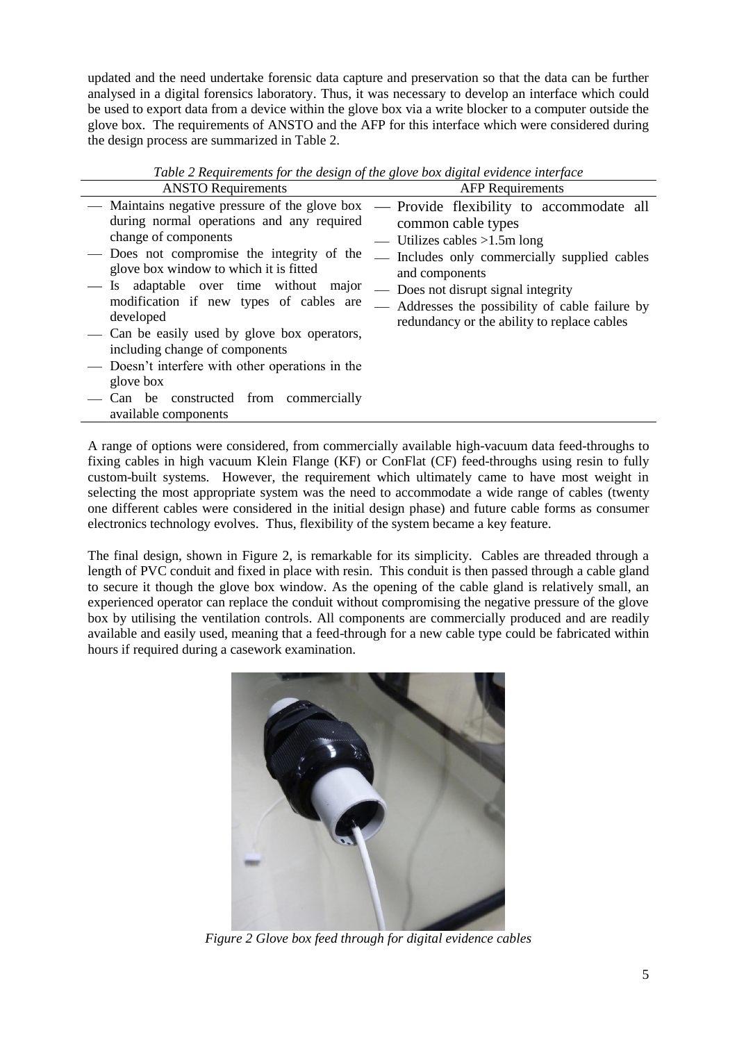updated and the need undertake forensic data capture and preservation so that the data can be further analysed in a digital forensics laboratory. Thus, it was necessary to develop an interface which could be used to export data from a device within the glove box via a write blocker to a computer outside the glove box. The requirements of ANSTO and the AFP for this interface which were considered during the design process are summarized in [Table 2.](#page-4-0)

<span id="page-4-0"></span>

| <b>ANSTO Requirements</b>                                                                                                                                                                                                                                                                                                                                                                                                                                                                                | <b>AFP</b> Requirements                                                                                                                                                                                                                                                                                      |
|----------------------------------------------------------------------------------------------------------------------------------------------------------------------------------------------------------------------------------------------------------------------------------------------------------------------------------------------------------------------------------------------------------------------------------------------------------------------------------------------------------|--------------------------------------------------------------------------------------------------------------------------------------------------------------------------------------------------------------------------------------------------------------------------------------------------------------|
| — Maintains negative pressure of the glove box<br>during normal operations and any required<br>change of components<br>— Does not compromise the integrity of the<br>glove box window to which it is fitted<br>Is adaptable over time without major<br>modification if new types of cables are<br>developed<br>- Can be easily used by glove box operators,<br>including change of components<br>— Doesn't interfere with other operations in the<br>glove box<br>— Can be constructed from commercially | — Provide flexibility to accommodate all<br>common cable types<br>— Utilizes cables $>1.5$ m long<br>- Includes only commercially supplied cables<br>and components<br>— Does not disrupt signal integrity<br>- Addresses the possibility of cable failure by<br>redundancy or the ability to replace cables |
| available components                                                                                                                                                                                                                                                                                                                                                                                                                                                                                     |                                                                                                                                                                                                                                                                                                              |

*Table 2 Requirements for the design of the glove box digital evidence interface*

A range of options were considered, from commercially available high-vacuum data feed-throughs to fixing cables in high vacuum Klein Flange (KF) or ConFlat (CF) feed-throughs using resin to fully custom-built systems. However, the requirement which ultimately came to have most weight in selecting the most appropriate system was the need to accommodate a wide range of cables (twenty one different cables were considered in the initial design phase) and future cable forms as consumer electronics technology evolves. Thus, flexibility of the system became a key feature.

The final design, shown in [Figure 2,](#page-4-1) is remarkable for its simplicity. Cables are threaded through a length of PVC conduit and fixed in place with resin. This conduit is then passed through a cable gland to secure it though the glove box window. As the opening of the cable gland is relatively small, an experienced operator can replace the conduit without compromising the negative pressure of the glove box by utilising the ventilation controls. All components are commercially produced and are readily available and easily used, meaning that a feed-through for a new cable type could be fabricated within hours if required during a casework examination.

<span id="page-4-1"></span>

*Figure 2 Glove box feed through for digital evidence cables*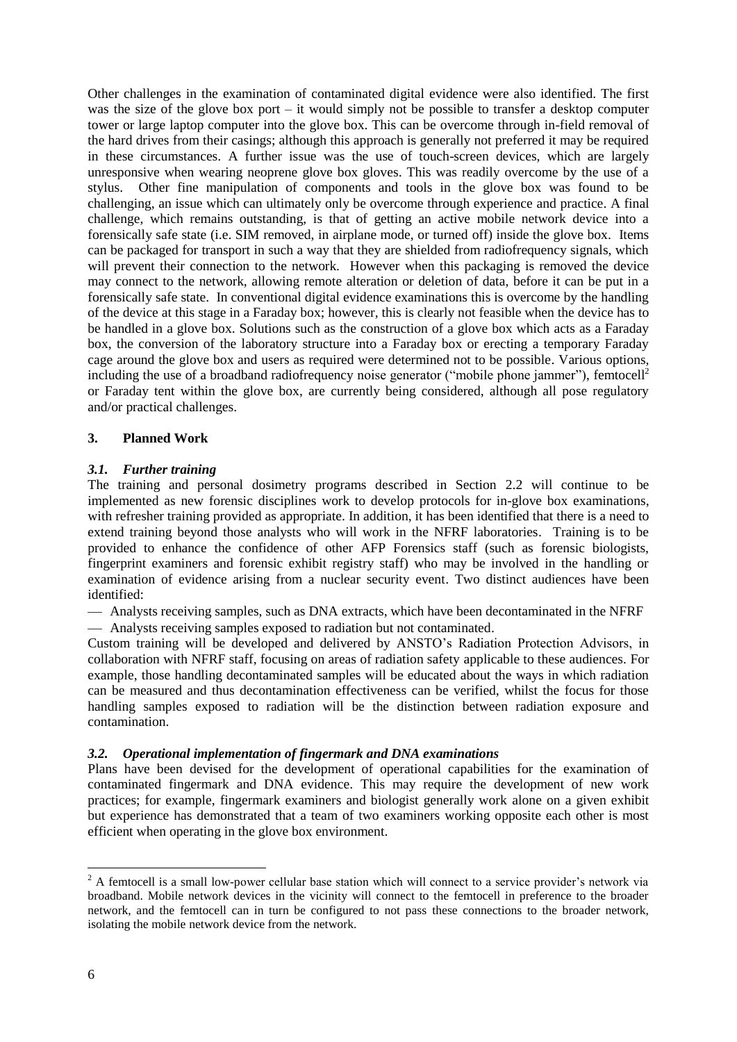Other challenges in the examination of contaminated digital evidence were also identified. The first was the size of the glove box port – it would simply not be possible to transfer a desktop computer tower or large laptop computer into the glove box. This can be overcome through in-field removal of the hard drives from their casings; although this approach is generally not preferred it may be required in these circumstances. A further issue was the use of touch-screen devices, which are largely unresponsive when wearing neoprene glove box gloves. This was readily overcome by the use of a stylus. Other fine manipulation of components and tools in the glove box was found to be challenging, an issue which can ultimately only be overcome through experience and practice. A final challenge, which remains outstanding, is that of getting an active mobile network device into a forensically safe state (i.e. SIM removed, in airplane mode, or turned off) inside the glove box. Items can be packaged for transport in such a way that they are shielded from radiofrequency signals, which will prevent their connection to the network. However when this packaging is removed the device may connect to the network, allowing remote alteration or deletion of data, before it can be put in a forensically safe state. In conventional digital evidence examinations this is overcome by the handling of the device at this stage in a Faraday box; however, this is clearly not feasible when the device has to be handled in a glove box. Solutions such as the construction of a glove box which acts as a Faraday box, the conversion of the laboratory structure into a Faraday box or erecting a temporary Faraday cage around the glove box and users as required were determined not to be possible. Various options, including the use of a broadband radiofrequency noise generator ("mobile phone jammer"), femtocell<sup>2</sup> or Faraday tent within the glove box, are currently being considered, although all pose regulatory and/or practical challenges.

## **3. Planned Work**

## *3.1. Further training*

The training and personal dosimetry programs described in Section [2.2](#page-3-1) will continue to be implemented as new forensic disciplines work to develop protocols for in-glove box examinations, with refresher training provided as appropriate. In addition, it has been identified that there is a need to extend training beyond those analysts who will work in the NFRF laboratories. Training is to be provided to enhance the confidence of other AFP Forensics staff (such as forensic biologists, fingerprint examiners and forensic exhibit registry staff) who may be involved in the handling or examination of evidence arising from a nuclear security event. Two distinct audiences have been identified:

Analysts receiving samples, such as DNA extracts, which have been decontaminated in the NFRF Analysts receiving samples exposed to radiation but not contaminated.

Custom training will be developed and delivered by ANSTO's Radiation Protection Advisors, in collaboration with NFRF staff, focusing on areas of radiation safety applicable to these audiences. For example, those handling decontaminated samples will be educated about the ways in which radiation can be measured and thus decontamination effectiveness can be verified, whilst the focus for those handling samples exposed to radiation will be the distinction between radiation exposure and contamination.

### *3.2. Operational implementation of fingermark and DNA examinations*

Plans have been devised for the development of operational capabilities for the examination of contaminated fingermark and DNA evidence. This may require the development of new work practices; for example, fingermark examiners and biologist generally work alone on a given exhibit but experience has demonstrated that a team of two examiners working opposite each other is most efficient when operating in the glove box environment.

l

<sup>&</sup>lt;sup>2</sup> A femtocell is a small low-power cellular base station which will connect to a service provider's network via broadband. Mobile network devices in the vicinity will connect to the femtocell in preference to the broader network, and the femtocell can in turn be configured to not pass these connections to the broader network, isolating the mobile network device from the network.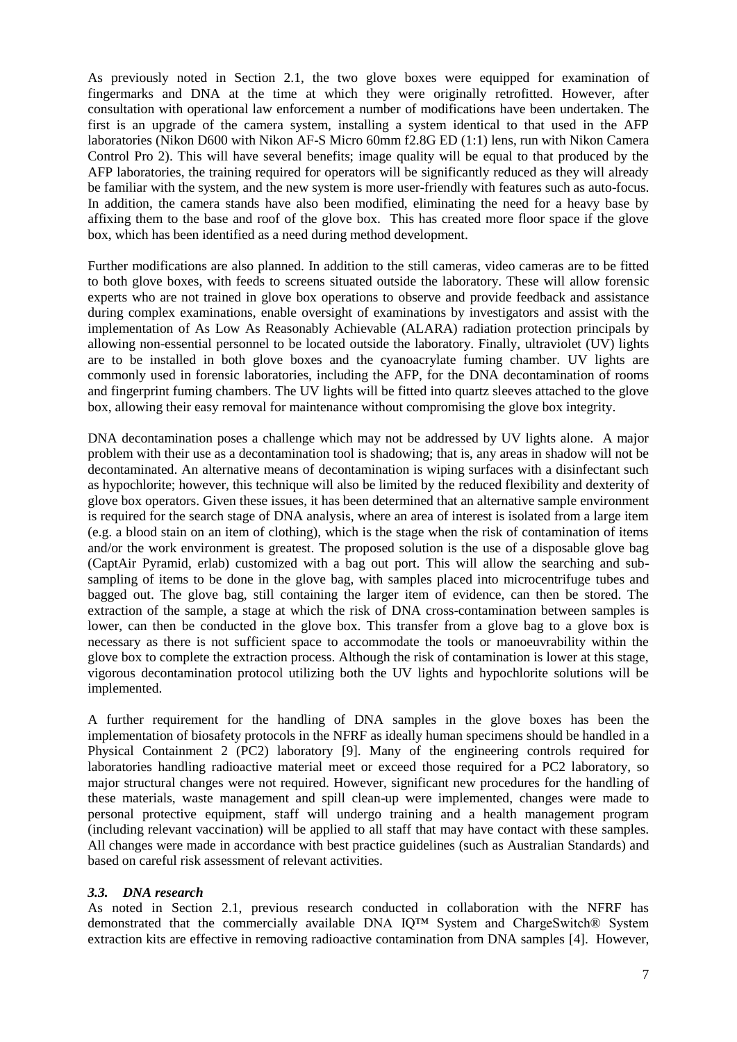As previously noted in Section [2.1,](#page-1-0) the two glove boxes were equipped for examination of fingermarks and DNA at the time at which they were originally retrofitted. However, after consultation with operational law enforcement a number of modifications have been undertaken. The first is an upgrade of the camera system, installing a system identical to that used in the AFP laboratories (Nikon D600 with Nikon AF-S Micro 60mm f2.8G ED (1:1) lens, run with Nikon Camera Control Pro 2). This will have several benefits; image quality will be equal to that produced by the AFP laboratories, the training required for operators will be significantly reduced as they will already be familiar with the system, and the new system is more user-friendly with features such as auto-focus. In addition, the camera stands have also been modified, eliminating the need for a heavy base by affixing them to the base and roof of the glove box. This has created more floor space if the glove box, which has been identified as a need during method development.

Further modifications are also planned. In addition to the still cameras, video cameras are to be fitted to both glove boxes, with feeds to screens situated outside the laboratory. These will allow forensic experts who are not trained in glove box operations to observe and provide feedback and assistance during complex examinations, enable oversight of examinations by investigators and assist with the implementation of As Low As Reasonably Achievable (ALARA) radiation protection principals by allowing non-essential personnel to be located outside the laboratory. Finally, ultraviolet (UV) lights are to be installed in both glove boxes and the cyanoacrylate fuming chamber. UV lights are commonly used in forensic laboratories, including the AFP, for the DNA decontamination of rooms and fingerprint fuming chambers. The UV lights will be fitted into quartz sleeves attached to the glove box, allowing their easy removal for maintenance without compromising the glove box integrity.

DNA decontamination poses a challenge which may not be addressed by UV lights alone. A major problem with their use as a decontamination tool is shadowing; that is, any areas in shadow will not be decontaminated. An alternative means of decontamination is wiping surfaces with a disinfectant such as hypochlorite; however, this technique will also be limited by the reduced flexibility and dexterity of glove box operators. Given these issues, it has been determined that an alternative sample environment is required for the search stage of DNA analysis, where an area of interest is isolated from a large item (e.g. a blood stain on an item of clothing), which is the stage when the risk of contamination of items and/or the work environment is greatest. The proposed solution is the use of a disposable glove bag (CaptAir Pyramid, erlab) customized with a bag out port. This will allow the searching and subsampling of items to be done in the glove bag, with samples placed into microcentrifuge tubes and bagged out. The glove bag, still containing the larger item of evidence, can then be stored. The extraction of the sample, a stage at which the risk of DNA cross-contamination between samples is lower, can then be conducted in the glove box. This transfer from a glove bag to a glove box is necessary as there is not sufficient space to accommodate the tools or manoeuvrability within the glove box to complete the extraction process. Although the risk of contamination is lower at this stage, vigorous decontamination protocol utilizing both the UV lights and hypochlorite solutions will be implemented.

A further requirement for the handling of DNA samples in the glove boxes has been the implementation of biosafety protocols in the NFRF as ideally human specimens should be handled in a Physical Containment 2 (PC2) laboratory [\[9\]](#page-9-4). Many of the engineering controls required for laboratories handling radioactive material meet or exceed those required for a PC2 laboratory, so major structural changes were not required. However, significant new procedures for the handling of these materials, waste management and spill clean-up were implemented, changes were made to personal protective equipment, staff will undergo training and a health management program (including relevant vaccination) will be applied to all staff that may have contact with these samples. All changes were made in accordance with best practice guidelines (such as Australian Standards) and based on careful risk assessment of relevant activities.

### *3.3. DNA research*

As noted in Section [2.1,](#page-1-0) previous research conducted in collaboration with the NFRF has demonstrated that the commercially available DNA IQ™ System and ChargeSwitch® System extraction kits are effective in removing radioactive contamination from DNA samples [\[4\]](#page-9-2). However,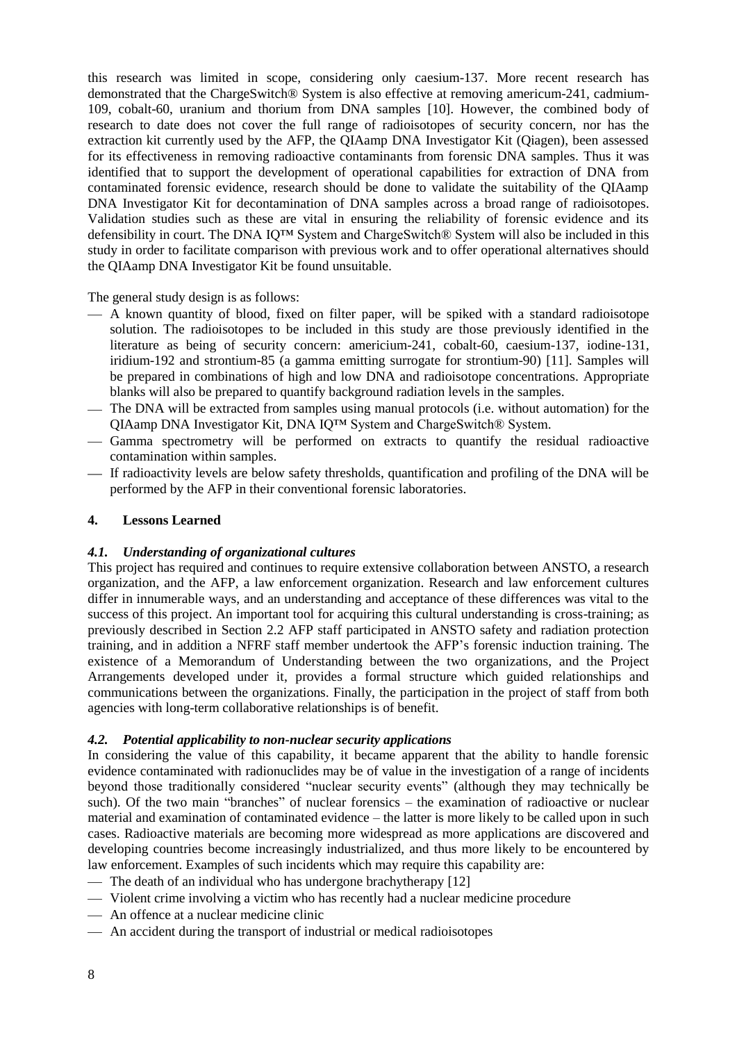this research was limited in scope, considering only caesium-137. More recent research has demonstrated that the ChargeSwitch® System is also effective at removing americum-241, cadmium-109, cobalt-60, uranium and thorium from DNA samples [\[10\]](#page-9-5). However, the combined body of research to date does not cover the full range of radioisotopes of security concern, nor has the extraction kit currently used by the AFP, the QIAamp DNA Investigator Kit (Qiagen), been assessed for its effectiveness in removing radioactive contaminants from forensic DNA samples. Thus it was identified that to support the development of operational capabilities for extraction of DNA from contaminated forensic evidence, research should be done to validate the suitability of the QIAamp DNA Investigator Kit for decontamination of DNA samples across a broad range of radioisotopes. Validation studies such as these are vital in ensuring the reliability of forensic evidence and its defensibility in court. The DNA IQ™ System and ChargeSwitch® System will also be included in this study in order to facilitate comparison with previous work and to offer operational alternatives should the QIAamp DNA Investigator Kit be found unsuitable.

The general study design is as follows:

- A known quantity of blood, fixed on filter paper, will be spiked with a standard radioisotope solution. The radioisotopes to be included in this study are those previously identified in the literature as being of security concern: americium-241, cobalt-60, caesium-137, iodine-131, iridium-192 and strontium-85 (a gamma emitting surrogate for strontium-90) [\[11\]](#page-9-6). Samples will be prepared in combinations of high and low DNA and radioisotope concentrations. Appropriate blanks will also be prepared to quantify background radiation levels in the samples.
- The DNA will be extracted from samples using manual protocols (i.e. without automation) for the QIAamp DNA Investigator Kit, DNA IQ™ System and ChargeSwitch® System.
- Gamma spectrometry will be performed on extracts to quantify the residual radioactive contamination within samples.
- If radioactivity levels are below safety thresholds, quantification and profiling of the DNA will be performed by the AFP in their conventional forensic laboratories.

## **4. Lessons Learned**

### *4.1. Understanding of organizational cultures*

This project has required and continues to require extensive collaboration between ANSTO, a research organization, and the AFP, a law enforcement organization. Research and law enforcement cultures differ in innumerable ways, and an understanding and acceptance of these differences was vital to the success of this project. An important tool for acquiring this cultural understanding is cross-training; as previously described in Section [2.2](#page-3-1) AFP staff participated in ANSTO safety and radiation protection training, and in addition a NFRF staff member undertook the AFP's forensic induction training. The existence of a Memorandum of Understanding between the two organizations, and the Project Arrangements developed under it, provides a formal structure which guided relationships and communications between the organizations. Finally, the participation in the project of staff from both agencies with long-term collaborative relationships is of benefit.

### *4.2. Potential applicability to non-nuclear security applications*

In considering the value of this capability, it became apparent that the ability to handle forensic evidence contaminated with radionuclides may be of value in the investigation of a range of incidents beyond those traditionally considered "nuclear security events" (although they may technically be such). Of the two main "branches" of nuclear forensics – the examination of radioactive or nuclear material and examination of contaminated evidence – the latter is more likely to be called upon in such cases. Radioactive materials are becoming more widespread as more applications are discovered and developing countries become increasingly industrialized, and thus more likely to be encountered by law enforcement. Examples of such incidents which may require this capability are:

- The death of an individual who has undergone brachytherapy [\[12\]](#page-9-7)
- Violent crime involving a victim who has recently had a nuclear medicine procedure
- An offence at a nuclear medicine clinic
- An accident during the transport of industrial or medical radioisotopes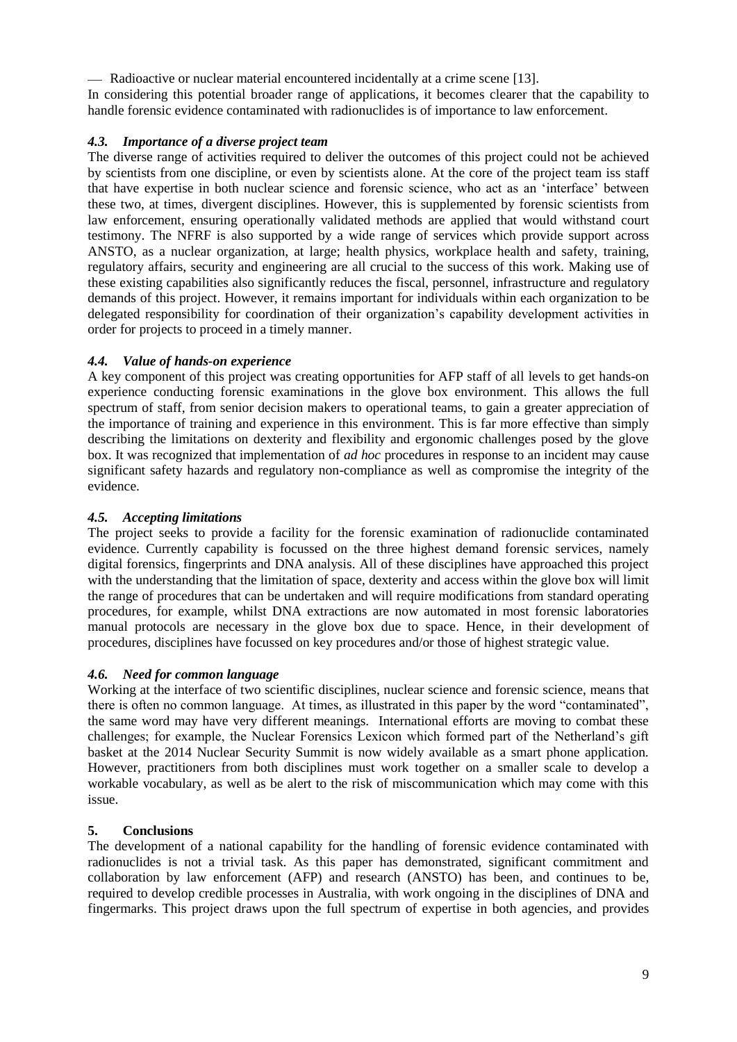Radioactive or nuclear material encountered incidentally at a crime scene [\[13\]](#page-9-8).

In considering this potential broader range of applications, it becomes clearer that the capability to handle forensic evidence contaminated with radionuclides is of importance to law enforcement.

# *4.3. Importance of a diverse project team*

The diverse range of activities required to deliver the outcomes of this project could not be achieved by scientists from one discipline, or even by scientists alone. At the core of the project team iss staff that have expertise in both nuclear science and forensic science, who act as an 'interface' between these two, at times, divergent disciplines. However, this is supplemented by forensic scientists from law enforcement, ensuring operationally validated methods are applied that would withstand court testimony. The NFRF is also supported by a wide range of services which provide support across ANSTO, as a nuclear organization, at large; health physics, workplace health and safety, training, regulatory affairs, security and engineering are all crucial to the success of this work. Making use of these existing capabilities also significantly reduces the fiscal, personnel, infrastructure and regulatory demands of this project. However, it remains important for individuals within each organization to be delegated responsibility for coordination of their organization's capability development activities in order for projects to proceed in a timely manner.

# *4.4. Value of hands-on experience*

A key component of this project was creating opportunities for AFP staff of all levels to get hands-on experience conducting forensic examinations in the glove box environment. This allows the full spectrum of staff, from senior decision makers to operational teams, to gain a greater appreciation of the importance of training and experience in this environment. This is far more effective than simply describing the limitations on dexterity and flexibility and ergonomic challenges posed by the glove box. It was recognized that implementation of *ad hoc* procedures in response to an incident may cause significant safety hazards and regulatory non-compliance as well as compromise the integrity of the evidence.

# *4.5. Accepting limitations*

The project seeks to provide a facility for the forensic examination of radionuclide contaminated evidence. Currently capability is focussed on the three highest demand forensic services, namely digital forensics, fingerprints and DNA analysis. All of these disciplines have approached this project with the understanding that the limitation of space, dexterity and access within the glove box will limit the range of procedures that can be undertaken and will require modifications from standard operating procedures, for example, whilst DNA extractions are now automated in most forensic laboratories manual protocols are necessary in the glove box due to space. Hence, in their development of procedures, disciplines have focussed on key procedures and/or those of highest strategic value.

# *4.6. Need for common language*

Working at the interface of two scientific disciplines, nuclear science and forensic science, means that there is often no common language. At times, as illustrated in this paper by the word "contaminated", the same word may have very different meanings. International efforts are moving to combat these challenges; for example, the Nuclear Forensics Lexicon which formed part of the Netherland's gift basket at the 2014 Nuclear Security Summit is now widely available as a smart phone application. However, practitioners from both disciplines must work together on a smaller scale to develop a workable vocabulary, as well as be alert to the risk of miscommunication which may come with this issue.

# **5. Conclusions**

The development of a national capability for the handling of forensic evidence contaminated with radionuclides is not a trivial task. As this paper has demonstrated, significant commitment and collaboration by law enforcement (AFP) and research (ANSTO) has been, and continues to be, required to develop credible processes in Australia, with work ongoing in the disciplines of DNA and fingermarks. This project draws upon the full spectrum of expertise in both agencies, and provides